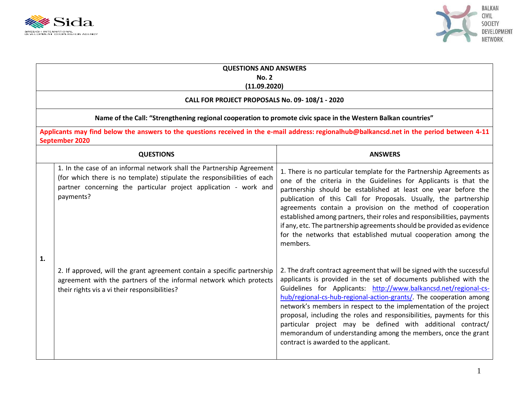



| <b>QUESTIONS AND ANSWERS</b><br><b>No. 2</b><br>(11.09.2020)<br>CALL FOR PROJECT PROPOSALS No. 09-108/1 - 2020<br>Name of the Call: "Strengthening regional cooperation to promote civic space in the Western Balkan countries" |                                                                                                                                                                                                                                   |                                                                                                                                                                                                                                                                                                                                                                                                                                                                                                                                                                                                               |  |                                                                                                                                                               |                  |                |  |
|---------------------------------------------------------------------------------------------------------------------------------------------------------------------------------------------------------------------------------|-----------------------------------------------------------------------------------------------------------------------------------------------------------------------------------------------------------------------------------|---------------------------------------------------------------------------------------------------------------------------------------------------------------------------------------------------------------------------------------------------------------------------------------------------------------------------------------------------------------------------------------------------------------------------------------------------------------------------------------------------------------------------------------------------------------------------------------------------------------|--|---------------------------------------------------------------------------------------------------------------------------------------------------------------|------------------|----------------|--|
|                                                                                                                                                                                                                                 |                                                                                                                                                                                                                                   |                                                                                                                                                                                                                                                                                                                                                                                                                                                                                                                                                                                                               |  | Applicants may find below the answers to the questions received in the e-mail address: regionalhub@balkancsd.net in the period between 4-11<br>September 2020 |                  |                |  |
|                                                                                                                                                                                                                                 |                                                                                                                                                                                                                                   |                                                                                                                                                                                                                                                                                                                                                                                                                                                                                                                                                                                                               |  |                                                                                                                                                               | <b>QUESTIONS</b> | <b>ANSWERS</b> |  |
|                                                                                                                                                                                                                                 | 1. In the case of an informal network shall the Partnership Agreement<br>(for which there is no template) stipulate the responsibilities of each<br>partner concerning the particular project application - work and<br>payments? | 1. There is no particular template for the Partnership Agreements as<br>one of the criteria in the Guidelines for Applicants is that the<br>partnership should be established at least one year before the<br>publication of this Call for Proposals. Usually, the partnership<br>agreements contain a provision on the method of cooperation<br>established among partners, their roles and responsibilities, payments<br>if any, etc. The partnership agreements should be provided as evidence<br>for the networks that established mutual cooperation among the<br>members.                               |  |                                                                                                                                                               |                  |                |  |
| $\mathbf{1}$                                                                                                                                                                                                                    | 2. If approved, will the grant agreement contain a specific partnership<br>agreement with the partners of the informal network which protects<br>their rights vis a vi their responsibilities?                                    | 2. The draft contract agreement that will be signed with the successful<br>applicants is provided in the set of documents published with the<br>Guidelines for Applicants: http://www.balkancsd.net/regional-cs-<br>hub/regional-cs-hub-regional-action-grants/. The cooperation among<br>network's members in respect to the implementation of the project<br>proposal, including the roles and responsibilities, payments for this<br>particular project may be defined with additional contract/<br>memorandum of understanding among the members, once the grant<br>contract is awarded to the applicant. |  |                                                                                                                                                               |                  |                |  |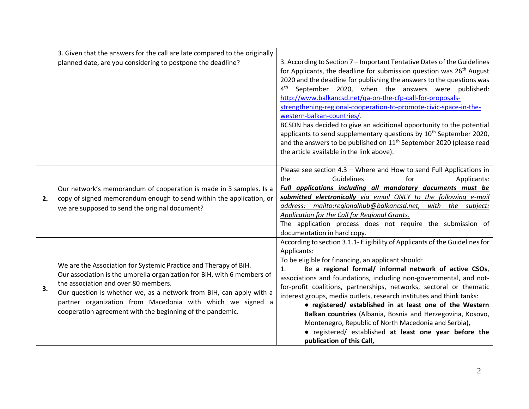|    | 3. Given that the answers for the call are late compared to the originally                                                                                                                                                                                                                                                                                                            |                                                                                                                                                                                                                                                                                                                                                                                                                                                                                                                                                                                                                                                                                                                                                                       |
|----|---------------------------------------------------------------------------------------------------------------------------------------------------------------------------------------------------------------------------------------------------------------------------------------------------------------------------------------------------------------------------------------|-----------------------------------------------------------------------------------------------------------------------------------------------------------------------------------------------------------------------------------------------------------------------------------------------------------------------------------------------------------------------------------------------------------------------------------------------------------------------------------------------------------------------------------------------------------------------------------------------------------------------------------------------------------------------------------------------------------------------------------------------------------------------|
|    | planned date, are you considering to postpone the deadline?                                                                                                                                                                                                                                                                                                                           | 3. According to Section 7 – Important Tentative Dates of the Guidelines<br>for Applicants, the deadline for submission question was 26 <sup>th</sup> August<br>2020 and the deadline for publishing the answers to the questions was<br>$4^{\text{th}}$<br>September 2020, when the answers were published:<br>http://www.balkancsd.net/qa-on-the-cfp-call-for-proposals-<br>strengthening-regional-cooperation-to-promote-civic-space-in-the-<br>western-balkan-countries/<br>BCSDN has decided to give an additional opportunity to the potential<br>applicants to send supplementary questions by 10 <sup>th</sup> September 2020,<br>and the answers to be published on 11 <sup>th</sup> September 2020 (please read<br>the article available in the link above). |
| 2. | Our network's memorandum of cooperation is made in 3 samples. Is a<br>copy of signed memorandum enough to send within the application, or<br>we are supposed to send the original document?                                                                                                                                                                                           | Please see section 4.3 - Where and How to send Full Applications in<br>Guidelines<br>the<br>for<br>Applicants:<br>Full applications including all mandatory documents must be<br>submitted electronically via email ONLY to the following e-mail<br>address: mailto:regionalhub@balkancsd.net, with the subject:<br>Application for the Call for Regional Grants.<br>The application process does not require the submission of<br>documentation in hard copy.                                                                                                                                                                                                                                                                                                        |
| 3. | We are the Association for Systemic Practice and Therapy of BiH.<br>Our association is the umbrella organization for BiH, with 6 members of<br>the association and over 80 members.<br>Our question is whether we, as a network from BiH, can apply with a<br>partner organization from Macedonia with which we signed a<br>cooperation agreement with the beginning of the pandemic. | According to section 3.1.1- Eligibility of Applicants of the Guidelines for<br>Applicants:<br>To be eligible for financing, an applicant should:<br>Be a regional formal/ informal network of active CSOs,<br>associations and foundations, including non-governmental, and not-<br>for-profit coalitions, partnerships, networks, sectoral or thematic<br>interest groups, media outlets, research institutes and think tanks:<br>• registered/ established in at least one of the Western<br>Balkan countries (Albania, Bosnia and Herzegovina, Kosovo,<br>Montenegro, Republic of North Macedonia and Serbia),<br>• registered/ established at least one year before the<br>publication of this Call,                                                              |